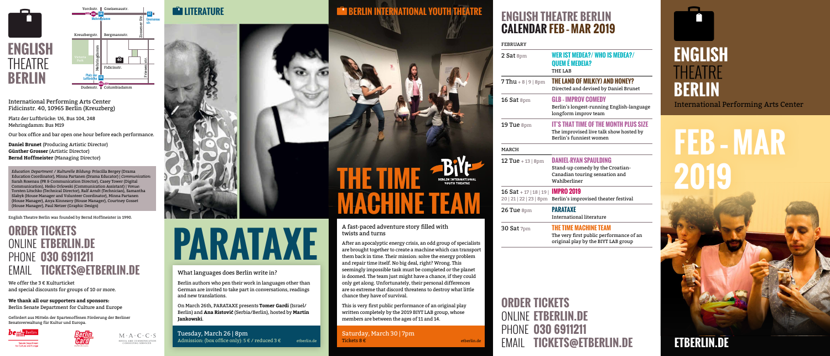# **ENGLISH BERLIN** International Performing Arts Center

## **ETBERLIN.DE**

# **FEB – MAR 2019**

## **LITERATURE BERLIN INTERNATIONAL YOUTH THEATRE <b>ENGLISH THEATRE BERLIN CALENDAR FEB – MAR 2019**

International Performing Arts Center Fidicinstr. 40, 10965 Berlin (Kreuzberg)

Platz der Luftbrücke: U6, Bus 104, 248 Mehringdamm: Bus M19

Our box office and bar open one hour before each performance.

**Daniel Brunet** (Producing Artistic Director) **Günther Grosser** (Artistic Director) **Bernd Hoffmeister** (Managing Director)

*Education Department / Kulturelle Bildung:* Priscilla Bergey (Drama Education Coordinator), Minna Partanen (Drama Educator) | *Communication:* Sarah Rosenau (PR & Communication Director), Casey Tower (Digital Communication), Heiko Orlowski (Communication Assistant) | *Venue:* Torsten Litschko (Technical Director), Ralf Arndt (Technician), Samantha Slabyk (House Manager and Volunteer Coordinator), Minna Partanen (House Manager), Anya Kinneavy (House Manager), Courtney Gosset (House Manager), Paul Netzer (Graphic Design)

English Theatre Berlin was founded by Bernd Hoffmeister in 1990.

#### **ORDER TICKETS** ONLINE **ETBERLIN.DE** PHONE **030 6911211**  EMAIL **TICKETS@ETBERLIN.DE**

We offer the 3 € Kulturticket and special discounts for groups of 10 or more.

#### **We thank all our supporters and sponsors:**

Berlin Senate Department for Culture and Europe



**BERLIN** 



Gefördert aus Mitteln der Spartenoffenen Förderung der Berliner Senatsverwaltung für Kultur und Europa.







FEBRUARY

#### 2 Sat 8pm **WER IST MEDEA?/ WHO IS MEDEA?/ QUEM É MEDEIA?**

THE LAB

#### Tuesday, March 26 | 8pm Admission: (box office only):  $5 \notin \ell$  reduced  $3 \notin \ell$

#### 7 Thu + 8 | 9 | 8pm **THE LAND OF MILK(Y) AND HONEY?** Directed and devised by Daniel Brunet

16 Sat 8pm **GLB – IMPROV COMEDY**

Berlin's longest-running English-language longform improv team

#### 19 Tue 8pm **IT'S THAT TIME OF THE MONTH PLUS SIZE**

The improvised live talk show hosted by Berlin's funniest women

MARCH

#### 12 Tue + 13 | 8pm **DANIEL-RYAN SPAULDING**

Stand-up comedy by the Croatian-Canadian touring sensation and Wahlberliner

16 Sat + 17 | 18 | 19 |

#### **IMPRO 2019**

20 | 21 | 22 | 23 | 8pm Berlin's improvised theater festival

26 Tue 8pm **PARATAXE** International literature

#### 30 Sat 7pm **THE TIME MACHINE TEAM**

The very first public performance of an original play by the BIYT LAB group

### **ORDER TICKETS** ONLINE **ETBERLIN.DE** PHONE **030 6911211**  EMAIL **TICKETS@ETBERLIN.DE**

What languages does Berlin write in?

Berlin authors who pen their work in languages other than German are invited to take part in conversations, readings

and new translations.

On March 26th, PARATAXE presents **Tomer Gardi** (Israel/ Berlin) and **Ana Ristovic** (Serbia/Berlin), hosted by **Martin** 

**Jankowski**.

After an apocalyptic energy crisis, an odd group of specialists are brought together to create a machine which can transport them back in time. Their mission: solve the energy problem and repair time itself. No big deal, right? Wrong. This seemingly impossible task must be completed or the planet is doomed. The team just might have a chance, if they could only get along. Unfortunately, their personal differences are so extreme that discord threatens to destroy what little chance they have of survival.



This is very first public performance of an original play written completely by the 2019 BIYT LAB group, whose members are between the ages of 11 and 14.

**PARATAXE**

Saturday, March 30 | 7pm etberlin.de Tickets 8 € etberlin.de